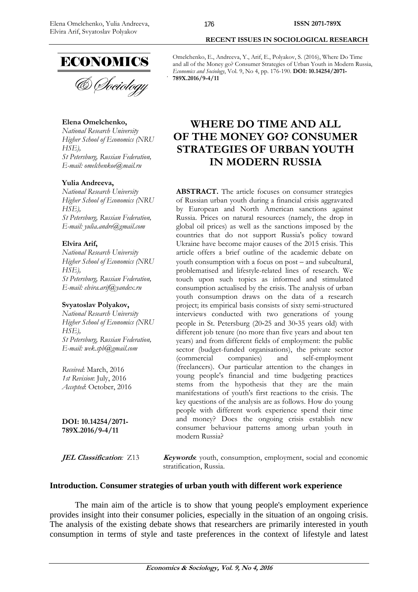

# **Elena Omelchenko,**

*National Research University Higher School of Economics (NRU HSE), St Petersburg, Russian Federation, E-mail: omelchenkoe@mail.ru* 

# **Yulia Andreeva,**

*National Research University Higher School of Economics (NRU HSE), St Petersburg, Russian Federation, E-mail: yulia.andre@gmail.com* 

## **Elvira Arif,**

*National Research University Higher School of Economics (NRU HSE), St Petersburg, Russian Federation, E-mail: elvira.arif@yandex.ru* 

## **Svyatoslav Polyakov,**

*National Research University Higher School of Economics (NRU HSE), St Petersburg, Russian Federation, E-mail: wek.spb@gmail.com* 

*Received*: March, 2016 *1st Revision*: July, 2016 *Accepted*: October, 2016

**DOI: 10.14254/2071- 789X.2016/9-4/11**

# **RECENT ISSUES IN SOCIOLOGICAL RESEARCH**

Omelchenko, E., Andreeva, Y., Arif, E., Polyakov, S. (2016), Where Do Time and all of the Money go? Consumer Strategies of Urban Youth in Modern Russia, *Economics and Sociology*, Vol. 9, No 4, pp. 176-190. **DOI: 10.14254/2071- 789X.2016/9-4/11**

# **WHERE DO TIME AND ALL OF THE MONEY GO? CONSUMER STRATEGIES OF URBAN YOUTH IN MODERN RUSSIA**

**ABSTRACT.** The article focuses on consumer strategies of Russian urban youth during a financial crisis aggravated by European and North American sanctions against Russia. Prices on natural resources (namely, the drop in global oil prices) as well as the sanctions imposed by the countries that do not support Russia's policy toward Ukraine have become major causes of the 2015 crisis. This article offers a brief outline of the academic debate on youth consumption with a focus on post *–* and subcultural, problematised and lifestyle-related lines of research. We touch upon such topics as informed and stimulated consumption actualised by the crisis. The analysis of urban youth consumption draws on the data of a research project; its empirical basis consists of sixty semi-structured interviews conducted with two generations of young people in St. Petersburg (20*-*25 and 30*-*35 years old) with different job tenure (no more than five years and about ten years) and from different fields of employment: the public sector (budget-funded organisations), the private sector (commercial companies) and self-employment (commercial companies) and self-employment (freelancers). Our particular attention to the changes in young people's financial and time budgeting practices stems from the hypothesis that they are the main manifestations of youth's first reactions to the crisis. The key questions of the analysis are as follows. How do young people with different work experience spend their time and money? Does the ongoing crisis establish new consumer behaviour patterns among urban youth in modern Russia?

**JEL Classification:** Z13 **Keywords**: youth, consumption, employment, social and economic stratification, Russia.

## **Introduction. Consumer strategies of urban youth with different work experience**

The main aim of the article is to show that young people's employment experience provides insight into their consumer policies, especially in the situation of an ongoing crisis. The analysis of the existing debate shows that researchers are primarily interested in youth consumption in terms of style and taste preferences in the context of lifestyle and latest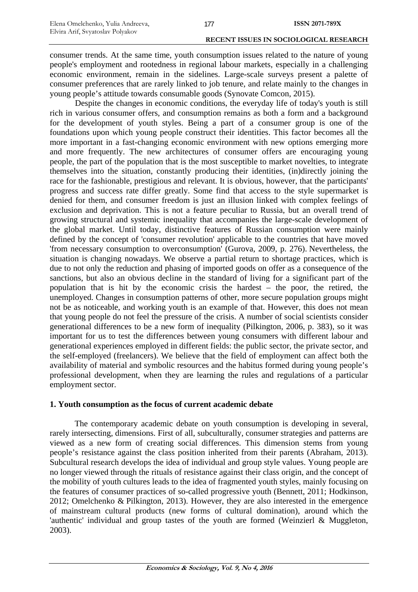consumer trends. At the same time, youth consumption issues related to the nature of young people's employment and rootedness in regional labour markets, especially in a challenging economic environment, remain in the sidelines. Large-scale surveys present a palette of consumer preferences that are rarely linked to job tenure, and relate mainly to the changes in young people's attitude towards consumable goods (Synovate Comcon, 2015).

Despite the changes in economic conditions, the everyday life of today's youth is still rich in various consumer offers, and consumption remains as both a form and a background for the development of youth styles. Being a part of a consumer group is one of the foundations upon which young people construct their identities. This factor becomes all the more important in a fast-changing economic environment with new options emerging more and more frequently. The new architectures of consumer offers are encouraging young people, the part of the population that is the most susceptible to market novelties, to integrate themselves into the situation, constantly producing their identities, (in)directly joining the race for the fashionable, prestigious and relevant. It is obvious, however, that the participants' progress and success rate differ greatly. Some find that access to the style supermarket is denied for them, and consumer freedom is just an illusion linked with complex feelings of exclusion and deprivation. This is not a feature peculiar to Russia, but an overall trend of growing structural and systemic inequality that accompanies the large-scale development of the global market. Until today, distinctive features of Russian consumption were mainly defined by the concept of 'consumer revolution' applicable to the countries that have moved 'from necessary consumption to overconsumption' (Gurova, 2009, p. 276). Nevertheless, the situation is changing nowadays. We observe a partial return to shortage practices, which is due to not only the reduction and phasing of imported goods on offer as a consequence of the sanctions, but also an obvious decline in the standard of living for a significant part of the population that is hit by the economic crisis the hardest – the poor, the retired, the unemployed. Changes in consumption patterns of other, more secure population groups might not be as noticeable, and working youth is an example of that. However, this does not mean that young people do not feel the pressure of the crisis. A number of social scientists consider generational differences to be a new form of inequality (Pilkington, 2006, p. 383), so it was important for us to test the differences between young consumers with different labour and generational experiences employed in different fields: the public sector, the private sector, and the self-employed (freelancers). We believe that the field of employment can affect both the availability of material and symbolic resources and the habitus formed during young people's professional development, when they are learning the rules and regulations of a particular employment sector.

# **1. Youth consumption as the focus of current academic debate**

The contemporary academic debate on youth consumption is developing in several, rarely intersecting, dimensions. First of all, subculturally, consumer strategies and patterns are viewed as a new form of creating social differences. This dimension stems from young people's resistance against the class position inherited from their parents (Abraham, 2013). Subcultural research develops the idea of individual and group style values. Young people are no longer viewed through the rituals of resistance against their class origin, and the concept of the mobility of youth cultures leads to the idea of fragmented youth styles, mainly focusing on the features of consumer practices of so-called progressive youth (Bennett, 2011; Hodkinson, 2012; Omelchenko & Pilkington, 2013). However, they are also interested in the emergence of mainstream cultural products (new forms of cultural domination), around which the 'authentic' individual and group tastes of the youth are formed (Weinzierl & Muggleton, 2003).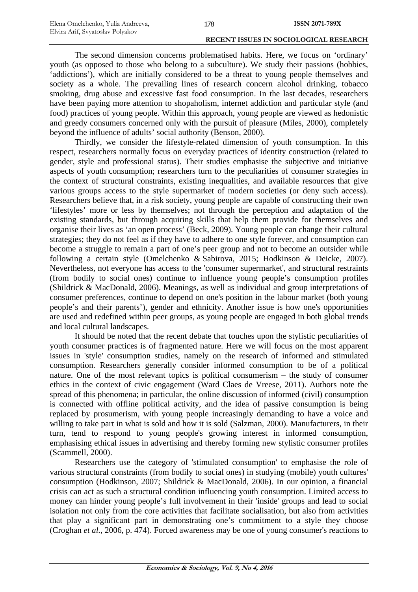The second dimension concerns problematised habits. Here, we focus on 'ordinary' youth (as opposed to those who belong to a subculture). We study their passions (hobbies, 'addictions'), which are initially considered to be a threat to young people themselves and society as a whole. The prevailing lines of research concern alcohol drinking, tobacco smoking, drug abuse and excessive fast food consumption. In the last decades, researchers have been paying more attention to shopaholism, internet addiction and particular style (and food) practices of young people. Within this approach, young people are viewed as hedonistic and greedy consumers concerned only with the pursuit of pleasure (Miles, 2000), completely beyond the influence of adults' social authority (Benson, 2000).

Thirdly, we consider the lifestyle-related dimension of youth consumption. In this respect, researchers normally focus on everyday practices of identity construction (related to gender, style and professional status). Their studies emphasise the subjective and initiative aspects of youth consumption; researchers turn to the peculiarities of consumer strategies in the context of structural constraints, existing inequalities, and available resources that give various groups access to the style supermarket of modern societies (or deny such access). Researchers believe that, in a risk society, young people are capable of constructing their own 'lifestyles' more or less by themselves; not through the perception and adaptation of the existing standards, but through acquiring skills that help them provide for themselves and organise their lives as 'an open process' (Beck, 2009). Young people can change their cultural strategies; they do not feel as if they have to adhere to one style forever, and consumption can become a struggle to remain a part of one's peer group and not to become an outsider while following a certain style (Omelchenko & Sabirova, 2015; Hodkinson & Deicke, 2007). Nevertheless, not everyone has access to the 'consumer supermarket', and structural restraints (from bodily to social ones) continue to influence young people's consumption profiles (Shildrick & MacDonald, 2006). Meanings, as well as individual and group interpretations of consumer preferences, continue to depend on one's position in the labour market (both young people's and their parents'), gender and ethnicity. Another issue is how one's opportunities are used and redefined within peer groups, as young people are engaged in both global trends and local cultural landscapes.

It should be noted that the recent debate that touches upon the stylistic peculiarities of youth consumer practices is of fragmented nature. Here we will focus on the most apparent issues in 'style' consumption studies, namely on the research of informed and stimulated consumption. Researchers generally consider informed consumption to be of a political nature. One of the most relevant topics is political consumerism – the study of consumer ethics in the context of civic engagement (Ward Claes de Vreese, 2011). Authors note the spread of this phenomena; in particular, the online discussion of informed (civil) consumption is connected with offline political activity, and the idea of passive consumption is being replaced by prosumerism, with young people increasingly demanding to have a voice and willing to take part in what is sold and how it is sold (Salzman, 2000). Manufacturers, in their turn, tend to respond to young people's growing interest in informed consumption, emphasising ethical issues in advertising and thereby forming new stylistic consumer profiles (Scammell, 2000).

Researchers use the category of 'stimulated consumption' to emphasise the role of various structural constraints (from bodily to social ones) in studying (mobile) youth cultures' consumption (Hodkinson, 2007; Shildrick & MacDonald, 2006). In our opinion, a financial crisis can act as such a structural condition influencing youth consumption. Limited access to money can hinder young people's full involvement in their 'inside' groups and lead to social isolation not only from the core activities that facilitate socialisation, but also from activities that play a significant part in demonstrating one's commitment to a style they choose (Croghan *et al.*, 2006, p. 474). Forced awareness may be one of young consumer's reactions to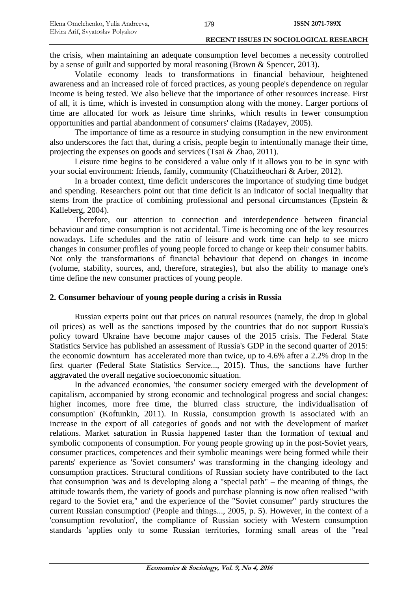the crisis, when maintaining an adequate consumption level becomes a necessity controlled by a sense of guilt and supported by moral reasoning (Brown & Spencer, 2013).

Volatile economy leads to transformations in financial behaviour, heightened awareness and an increased role of forced practices, as young people's dependence on regular income is being tested. We also believe that the importance of other resources increase. First of all, it is time, which is invested in consumption along with the money. Larger portions of time are allocated for work as leisure time shrinks, which results in fewer consumption opportunities and partial abandonment of consumers' claims (Radayev, 2005).

The importance of time as a resource in studying consumption in the new environment also underscores the fact that, during a crisis, people begin to intentionally manage their time, projecting the expenses on goods and services (Tsai & Zhao, 2011).

Leisure time begins to be considered a value only if it allows you to be in sync with your social environment: friends, family, community (Chatzitheochari & Arber, 2012).

In a broader context, time deficit underscores the importance of studying time budget and spending. Researchers point out that time deficit is an indicator of social inequality that stems from the practice of combining professional and personal circumstances (Epstein & Kalleberg, 2004).

Therefore, our attention to connection and interdependence between financial behaviour and time consumption is not accidental. Time is becoming one of the key resources nowadays. Life schedules and the ratio of leisure and work time can help to see micro changes in consumer profiles of young people forced to change or keep their consumer habits. Not only the transformations of financial behaviour that depend on changes in income (volume, stability, sources, and, therefore, strategies), but also the ability to manage one's time define the new consumer practices of young people.

# **2. Consumer behaviour of young people during a crisis in Russia**

Russian experts point out that prices on natural resources (namely, the drop in global oil prices) as well as the sanctions imposed by the countries that do not support Russia's policy toward Ukraine have become major causes of the 2015 crisis. The Federal State Statistics Service has published an assessment of Russia's GDP in the second quarter of 2015: the economic downturn has accelerated more than twice, up to 4.6% after a 2.2% drop in the first quarter (Federal State Statistics Service..., 2015). Thus, the sanctions have further aggravated the overall negative socioeconomic situation.

In the advanced economies, 'the consumer society emerged with the development of capitalism, accompanied by strong economic and technological progress and social changes: higher incomes, more free time, the blurred class structure, the individualisation of consumption' (Koftunkin, 2011). In Russia, consumption growth is associated with an increase in the export of all categories of goods and not with the development of market relations. Market saturation in Russia happened faster than the formation of textual and symbolic components of consumption. For young people growing up in the post-Soviet years, consumer practices, competences and their symbolic meanings were being formed while their parents' experience as 'Soviet consumers' was transforming in the changing ideology and consumption practices. Structural conditions of Russian society have contributed to the fact that consumption 'was and is developing along a "special path" – the meaning of things, the attitude towards them, the variety of goods and purchase planning is now often realised "with regard to the Soviet era," and the experience of the "Soviet consumer" partly structures the current Russian consumption' (People and things..., 2005, p. 5). However, in the context of a 'consumption revolution', the compliance of Russian society with Western consumption standards 'applies only to some Russian territories, forming small areas of the "real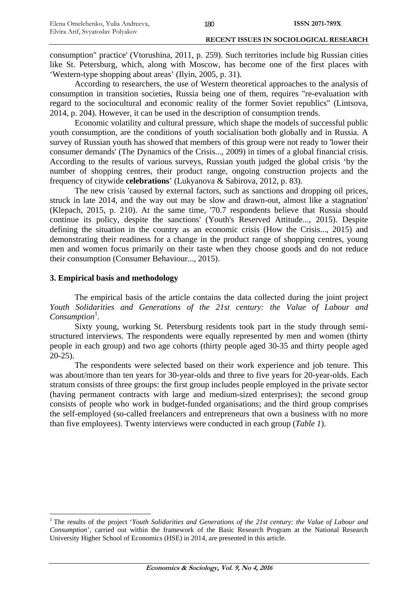consumption" practice' (Vtorushina, 2011, p. 259). Such territories include big Russian cities like St. Petersburg, which, along with Moscow, has become one of the first places with 'Western-type shopping about areas' (Ilyin, 2005, p. 31).

According to researchers, the use of Western theoretical approaches to the analysis of consumption in transition societies, Russia being one of them, requires "re-evaluation with regard to the sociocultural and economic reality of the former Soviet republics" (Lintsova, 2014, p. 204). However, it can be used in the description of consumption trends.

Economic volatility and cultural pressure, which shape the models of successful public youth consumption, are the conditions of youth socialisation both globally and in Russia. A survey of Russian youth has showed that members of this group were not ready to 'lower their consumer demands' (The Dynamics of the Crisis..., 2009) in times of a global financial crisis. According to the results of various surveys, Russian youth judged the global crisis 'by the number of shopping centres, their product range, ongoing construction projects and the frequency of citywide **celebrations**' (Lukyanova & Sabirova, 2012, p. 83).

The new crisis 'caused by external factors, such as sanctions and dropping oil prices, struck in late 2014, and the way out may be slow and drawn-out, almost like a stagnation' (Klepach, 2015, p. 210). At the same time, '70.7 respondents believe that Russia should continue its policy, despite the sanctions' (Youth's Reserved Attitude..., 2015). Despite defining the situation in the country as an economic crisis (How the Crisis..., 2015) and demonstrating their readiness for a change in the product range of shopping centres, young men and women focus primarily on their taste when they choose goods and do not reduce their consumption (Consumer Behaviour..., 2015).

## **3. Empirical basis and methodology**

1

The empirical basis of the article contains the data collected during the joint project *Youth Solidarities and Generations of the 21st century: the Value of Labour and*  Consumption<sup>1</sup>.

Sixty young, working St. Petersburg residents took part in the study through semistructured interviews. The respondents were equally represented by men and women (thirty people in each group) and two age cohorts (thirty people aged 30-35 and thirty people aged 20-25).

The respondents were selected based on their work experience and job tenure. This was about/more than ten years for 30-year-olds and three to five years for 20-year-olds. Each stratum consists of three groups: the first group includes people employed in the private sector (having permanent contracts with large and medium-sized enterprises); the second group consists of people who work in budget-funded organisations; and the third group comprises the self-employed (so-called freelancers and entrepreneurs that own a business with no more than five employees). Twenty interviews were conducted in each group (*Table 1*).

<sup>&</sup>lt;sup>1</sup> The results of the project '*Youth Solidarities and Generations of the 21st century: the Value of Labour and Consumption*', carried out within the framework of the Basic Research Program at the National Research University Higher School of Economics (HSE) in 2014, are presented in this article.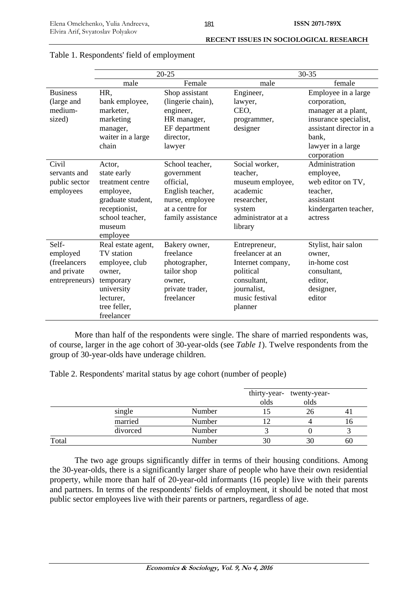|                 |                    | $20 - 25$         | 30-35              |                         |  |
|-----------------|--------------------|-------------------|--------------------|-------------------------|--|
|                 | male               | Female            | male               | female                  |  |
| <b>Business</b> | HR,                | Shop assistant    | Engineer,          | Employee in a large     |  |
| (large and      | bank employee,     | (lingerie chain), | lawyer,            | corporation,            |  |
| medium-         | marketer,          | engineer,         | CEO,               | manager at a plant,     |  |
| sized)          | marketing          | HR manager,       | programmer,        | insurance specialist,   |  |
|                 | manager,           | EF department     | designer           | assistant director in a |  |
|                 | waiter in a large  | director,         |                    | bank,                   |  |
|                 | chain              | lawyer            |                    | lawyer in a large       |  |
|                 |                    |                   |                    | corporation             |  |
| Civil           | Actor,             | School teacher,   | Social worker,     | Administration          |  |
| servants and    | state early        | government        | teacher,           | employee,               |  |
| public sector   | treatment centre   | official.         | museum employee,   | web editor on TV,       |  |
| employees       | employee,          | English teacher,  | academic           | teacher.                |  |
|                 | graduate student,  | nurse, employee   | researcher,        | assistant               |  |
|                 | receptionist,      | at a centre for   | system             | kindergarten teacher,   |  |
|                 | school teacher,    | family assistance | administrator at a | actress                 |  |
|                 | museum             |                   | library            |                         |  |
|                 | employee           |                   |                    |                         |  |
| Self-           | Real estate agent, | Bakery owner,     | Entrepreneur,      | Stylist, hair salon     |  |
| employed        | TV station         | freelance         | freelancer at an   | owner,                  |  |
| (freelancers    | employee, club     | photographer,     | Internet company,  | in-home cost            |  |
| and private     | owner.             | tailor shop       | political          | consultant,             |  |
| entrepreneurs)  | temporary          | owner,            | consultant,        | editor,                 |  |
|                 | university         | private trader,   | journalist,        | designer,               |  |
|                 | lecturer,          | freelancer        | music festival     | editor                  |  |
|                 | tree feller,       |                   | planner            |                         |  |
|                 | freelancer         |                   |                    |                         |  |

# Table 1. Respondents' field of employment

More than half of the respondents were single. The share of married respondents was, of course, larger in the age cohort of 30-year-olds (see *Table 1*). Twelve respondents from the group of 30-year-olds have underage children.

Table 2. Respondents' marital status by age cohort (number of people)

|       |          |        | olds | thirty-year- twenty-year-<br>olds |    |
|-------|----------|--------|------|-----------------------------------|----|
|       | single   | Number |      | 26                                |    |
|       | married  | Number |      |                                   | 10 |
|       | divorced | Number |      |                                   |    |
| Total |          | Number | 30   | 30                                | 60 |

The two age groups significantly differ in terms of their housing conditions. Among the 30-year-olds, there is a significantly larger share of people who have their own residential property, while more than half of 20-year-old informants (16 people) live with their parents and partners. In terms of the respondents' fields of employment, it should be noted that most public sector employees live with their parents or partners, regardless of age.

181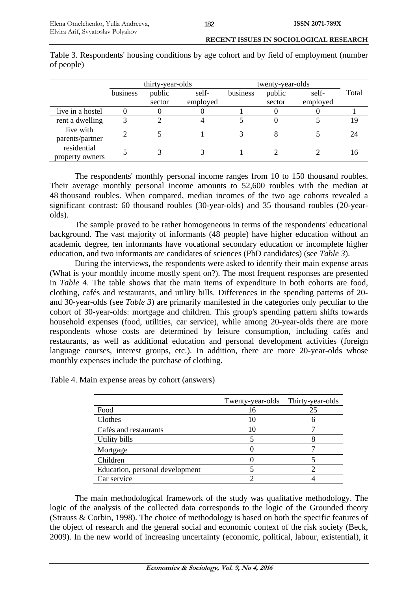| <b>RECENT ISSUES IN SOCIOLOGICAL RESEARCH</b> |                                                                       |  |  |  |
|-----------------------------------------------|-----------------------------------------------------------------------|--|--|--|
|                                               | I housing conditions by egg solont and by field of employment (number |  |  |  |

|                                | thirty-year-olds |        | twenty-year-olds |          |        |          |       |
|--------------------------------|------------------|--------|------------------|----------|--------|----------|-------|
|                                | business         | public | self-            | business | public | self-    | Total |
|                                |                  | sector | employed         |          | sector | employed |       |
| live in a hostel               |                  |        |                  |          |        |          |       |
| rent a dwelling                |                  |        |                  |          |        |          |       |
| live with<br>parents/partner   |                  |        |                  |          |        |          | 24    |
| residential<br>property owners |                  |        |                  |          |        |          | Iб    |

Table 3. Respondents' housing conditions by age cohort and by field of employment (number of people)

The respondents' monthly personal income ranges from 10 to 150 thousand roubles. Their average monthly personal income amounts to 52,600 roubles with the median at 48 thousand roubles. When compared, median incomes of the two age cohorts revealed a significant contrast: 60 thousand roubles (30-year-olds) and 35 thousand roubles (20-yearolds).

The sample proved to be rather homogeneous in terms of the respondents' educational background. The vast majority of informants (48 people) have higher education without an academic degree, ten informants have vocational secondary education or incomplete higher education, and two informants are candidates of sciences (PhD candidates) (see *Table 3*).

During the interviews, the respondents were asked to identify their main expense areas (What is your monthly income mostly spent on?). The most frequent responses are presented in *Table 4*. The table shows that the main items of expenditure in both cohorts are food, clothing, cafés and restaurants, and utility bills. Differences in the spending patterns of 20 and 30-year-olds (see *Table 3*) are primarily manifested in the categories only peculiar to the cohort of 30-year-olds: mortgage and children. This group's spending pattern shifts towards household expenses (food, utilities, car service), while among 20-year-olds there are more respondents whose costs are determined by leisure consumption, including cafés and restaurants, as well as additional education and personal development activities (foreign language courses, interest groups, etc.). In addition, there are more 20-year-olds whose monthly expenses include the purchase of clothing.

Table 4. Main expense areas by cohort (answers)

|                                 | Twenty-year-olds | Thirty-year-olds |
|---------------------------------|------------------|------------------|
| Food                            | 16               | 25               |
| Clothes                         |                  |                  |
| Cafés and restaurants           |                  |                  |
| Utility bills                   |                  |                  |
| Mortgage                        |                  |                  |
| Children                        |                  |                  |
| Education, personal development |                  |                  |
| Car service                     |                  |                  |

The main methodological framework of the study was qualitative methodology. The logic of the analysis of the collected data corresponds to the logic of the Grounded theory (Strauss & Corbin, 1998). The choice of methodology is based on both the specific features of the object of research and the general social and economic context of the risk society (Beck, 2009). In the new world of increasing uncertainty (economic, political, labour, existential), it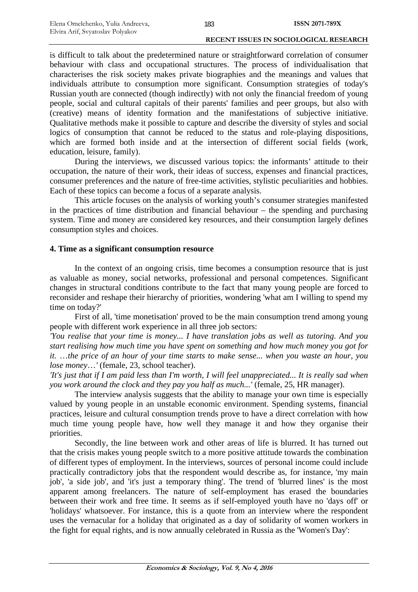is difficult to talk about the predetermined nature or straightforward correlation of consumer behaviour with class and occupational structures. The process of individualisation that characterises the risk society makes private biographies and the meanings and values that individuals attribute to consumption more significant. Consumption strategies of today's Russian youth are connected (though indirectly) with not only the financial freedom of young people, social and cultural capitals of their parents' families and peer groups, but also with (creative) means of identity formation and the manifestations of subjective initiative. Qualitative methods make it possible to capture and describe the diversity of styles and social logics of consumption that cannot be reduced to the status and role-playing dispositions, which are formed both inside and at the intersection of different social fields (work, education, leisure, family).

During the interviews, we discussed various topics: the informants' attitude to their occupation, the nature of their work, their ideas of success, expenses and financial practices, consumer preferences and the nature of free-time activities, stylistic peculiarities and hobbies. Each of these topics can become a focus of a separate analysis.

This article focuses on the analysis of working youth's consumer strategies manifested in the practices of time distribution and financial behaviour – the spending and purchasing system. Time and money are considered key resources, and their consumption largely defines consumption styles and choices.

## **4. Time as a significant consumption resource**

In the context of an ongoing crisis, time becomes a consumption resource that is just as valuable as money, social networks, professional and personal competences. Significant changes in structural conditions contribute to the fact that many young people are forced to reconsider and reshape their hierarchy of priorities, wondering 'what am I willing to spend my time on today?'

First of all, 'time monetisation' proved to be the main consumption trend among young people with different work experience in all three job sectors:

*'You realise that your time is money... I have translation jobs as well as tutoring. And you start realising how much time you have spent on something and how much money you got for it.* …*the price of an hour of your time starts to make sense... when you waste an hour, you lose money*…*'* (female, 23, school teacher).

*'It's just that if I am paid less than I'm worth, I will feel unappreciated... It is really sad when you work around the clock and they pay you half as much...'* (female, 25, HR manager).

The interview analysis suggests that the ability to manage your own time is especially valued by young people in an unstable economic environment. Spending systems, financial practices, leisure and cultural consumption trends prove to have a direct correlation with how much time young people have, how well they manage it and how they organise their priorities.

Secondly, the line between work and other areas of life is blurred. It has turned out that the crisis makes young people switch to a more positive attitude towards the combination of different types of employment. In the interviews, sources of personal income could include practically contradictory jobs that the respondent would describe as, for instance, 'my main job', 'a side job', and 'it's just a temporary thing'. The trend of 'blurred lines' is the most apparent among freelancers. The nature of self-employment has erased the boundaries between their work and free time. It seems as if self-employed youth have no 'days off' or 'holidays' whatsoever. For instance, this is a quote from an interview where the respondent uses the vernacular for a holiday that originated as a day of solidarity of women workers in the fight for equal rights, and is now annually celebrated in Russia as the 'Women's Day':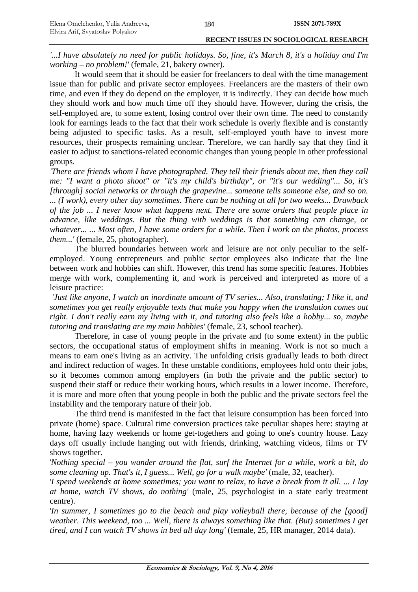*'...I have absolutely no need for public holidays. So, fine, it's March 8, it's a holiday and I'm working* – *no problem!'* (female, 21, bakery owner).

It would seem that it should be easier for freelancers to deal with the time management issue than for public and private sector employees. Freelancers are the masters of their own time, and even if they do depend on the employer, it is indirectly. They can decide how much they should work and how much time off they should have. However, during the crisis, the self-employed are, to some extent, losing control over their own time. The need to constantly look for earnings leads to the fact that their work schedule is overly flexible and is constantly being adjusted to specific tasks. As a result, self-employed youth have to invest more resources, their prospects remaining unclear. Therefore, we can hardly say that they find it easier to adjust to sanctions-related economic changes than young people in other professional groups.

*'There are friends whom I have photographed. They tell their friends about me, then they call me: "I want a photo shoot" or "it's my child's birthday", or "it's our wedding"... So, it's [through] social networks or through the grapevine... someone tells someone else, and so on. ... (I work), every other day sometimes. There can be nothing at all for two weeks... Drawback of the job ... I never know what happens next. There are some orders that people place in advance, like weddings. But the thing with weddings is that something can change, or whatever... ... Most often, I have some orders for a while. Then I work on the photos, process them...'* (female, 25, photographer).

The blurred boundaries between work and leisure are not only peculiar to the selfemployed. Young entrepreneurs and public sector employees also indicate that the line between work and hobbies can shift. However, this trend has some specific features. Hobbies merge with work, complementing it, and work is perceived and interpreted as more of a leisure practice:

*'Just like anyone, I watch an inordinate amount of TV series... Also, translating; I like it, and sometimes you get really enjoyable texts that make you happy when the translation comes out right. I don't really earn my living with it, and tutoring also feels like a hobby... so, maybe tutoring and translating are my main hobbies'* (female, 23, school teacher).

Therefore, in case of young people in the private and (to some extent) in the public sectors, the occupational status of employment shifts in meaning. Work is not so much a means to earn one's living as an activity. The unfolding crisis gradually leads to both direct and indirect reduction of wages. In these unstable conditions, employees hold onto their jobs, so it becomes common among employers (in both the private and the public sector) to suspend their staff or reduce their working hours, which results in a lower income. Therefore, it is more and more often that young people in both the public and the private sectors feel the instability and the temporary nature of their job.

The third trend is manifested in the fact that leisure consumption has been forced into private (home) space. Cultural time conversion practices take peculiar shapes here: staying at home, having lazy weekends or home get-togethers and going to one's country house. Lazy days off usually include hanging out with friends, drinking, watching videos, films or TV shows together.

*'Nothing special* – *you wander around the flat, surf the Internet for a while, work a bit, do some cleaning up. That's it, I guess... Well, go for a walk maybe'* (male, 32, teacher).

*'I spend weekends at home sometimes; you want to relax, to have a break from it all. ... I lay at home, watch TV shows, do nothing'* (male, 25, psychologist in a state early treatment centre).

*'In summer, I sometimes go to the beach and play volleyball there, because of the [good] weather. This weekend, too ... Well, there is always something like that. (But) sometimes I get tired, and I can watch TV shows in bed all day long'* (female, 25, HR manager, 2014 data).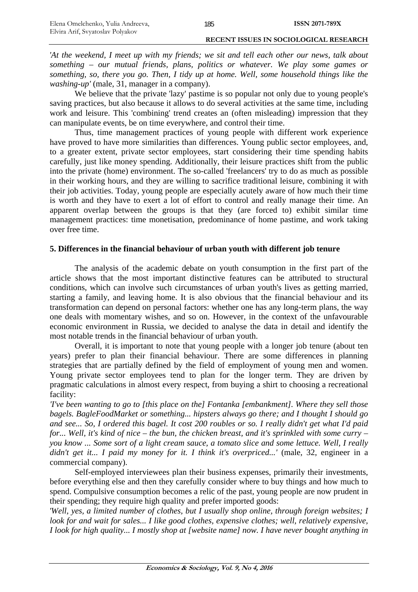*'At the weekend, I meet up with my friends; we sit and tell each other our news, talk about something* – *our mutual friends, plans, politics or whatever. We play some games or something, so, there you go. Then, I tidy up at home. Well, some household things like the washing-up'* (male, 31, manager in a company).

We believe that the private 'lazy' pastime is so popular not only due to young people's saving practices, but also because it allows to do several activities at the same time, including work and leisure. This 'combining' trend creates an (often misleading) impression that they can manipulate events, be on time everywhere, and control their time.

Thus, time management practices of young people with different work experience have proved to have more similarities than differences. Young public sector employees, and, to a greater extent, private sector employees, start considering their time spending habits carefully, just like money spending. Additionally, their leisure practices shift from the public into the private (home) environment. The so-called 'freelancers' try to do as much as possible in their working hours, and they are willing to sacrifice traditional leisure, combining it with their job activities. Today, young people are especially acutely aware of how much their time is worth and they have to exert a lot of effort to control and really manage their time. An apparent overlap between the groups is that they (are forced to) exhibit similar time management practices: time monetisation, predominance of home pastime, and work taking over free time.

# **5. Differences in the financial behaviour of urban youth with different job tenure**

The analysis of the academic debate on youth consumption in the first part of the article shows that the most important distinctive features can be attributed to structural conditions, which can involve such circumstances of urban youth's lives as getting married, starting a family, and leaving home. It is also obvious that the financial behaviour and its transformation can depend on personal factors: whether one has any long-term plans, the way one deals with momentary wishes, and so on. However, in the context of the unfavourable economic environment in Russia, we decided to analyse the data in detail and identify the most notable trends in the financial behaviour of urban youth.

Overall, it is important to note that young people with a longer job tenure (about ten years) prefer to plan their financial behaviour. There are some differences in planning strategies that are partially defined by the field of employment of young men and women. Young private sector employees tend to plan for the longer term. They are driven by pragmatic calculations in almost every respect, from buying a shirt to choosing a recreational facility:

*'I've been wanting to go to [this place on the] Fontanka [embankment]. Where they sell those bagels. BagleFoodMarket or something... hipsters always go there; and I thought I should go and see... So, I ordered this bagel. It cost 200 roubles or so. I really didn't get what I'd paid for... Well, it's kind of nice* – *the bun, the chicken breast, and it's sprinkled with some curry* – *you know ... Some sort of a light cream sauce, a tomato slice and some lettuce. Well, I really didn't get it... I paid my money for it. I think it's overpriced...'* (male, 32, engineer in a commercial company).

Self-employed interviewees plan their business expenses, primarily their investments, before everything else and then they carefully consider where to buy things and how much to spend. Compulsive consumption becomes a relic of the past, young people are now prudent in their spending; they require high quality and prefer imported goods:

*'Well, yes, a limited number of clothes, but I usually shop online, through foreign websites; I look for and wait for sales... I like good clothes, expensive clothes; well, relatively expensive, I look for high quality... I mostly shop at [website name] now. I have never bought anything in*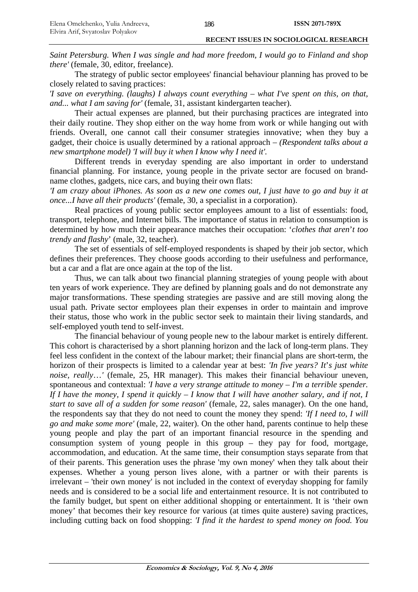*Saint Petersburg. When I was single and had more freedom, I would go to Finland and shop there'* (female, 30, editor, freelance).

The strategy of public sector employees' financial behaviour planning has proved to be closely related to saving practices:

*'I save on everything. (laughs) I always count everything – what I've spent on this, on that, and... what I am saving for'* (female, 31, assistant kindergarten teacher).

Their actual expenses are planned, but their purchasing practices are integrated into their daily routine. They shop either on the way home from work or while hanging out with friends. Overall, one cannot call their consumer strategies innovative; when they buy a gadget, their choice is usually determined by a rational approach – *(Respondent talks about a new smartphone model) 'I will buy it when I know why I need it'.*

Different trends in everyday spending are also important in order to understand financial planning. For instance, young people in the private sector are focused on brandname clothes, gadgets, nice cars, and buying their own flats:

*'I am crazy about iPhones. As soon as a new one comes out, I just have to go and buy it at once...I have all their products'* (female, 30, a specialist in a corporation).

Real practices of young public sector employees amount to a list of essentials: food, transport, telephone, and Internet bills. The importance of status in relation to consumption is determined by how much their appearance matches their occupation: '*clothes that aren*'*t too trendy and flashy*' (male, 32, teacher).

The set of essentials of self-employed respondents is shaped by their job sector, which defines their preferences. They choose goods according to their usefulness and performance, but a car and a flat are once again at the top of the list.

Thus, we can talk about two financial planning strategies of young people with about ten years of work experience. They are defined by planning goals and do not demonstrate any major transformations. These spending strategies are passive and are still moving along the usual path. Private sector employees plan their expenses in order to maintain and improve their status, those who work in the public sector seek to maintain their living standards, and self-employed youth tend to self-invest.

The financial behaviour of young people new to the labour market is entirely different. This cohort is characterised by a short planning horizon and the lack of long-term plans. They feel less confident in the context of the labour market; their financial plans are short-term, the horizon of their prospects is limited to a calendar year at best: *'In five years? It*'*s just white noise, really*…*'* (female, 25, HR manager). This makes their financial behaviour uneven, spontaneous and contextual: *'I have a very strange attitude to money – I'm a terrible spender. If I have the money, I spend it quickly* – *I know that I will have another salary, and if not, I start to save all of a sudden for some reason'* (female, 22, sales manager). On the one hand, the respondents say that they do not need to count the money they spend: *'If I need to, I will go and make some more'* (male, 22, waiter). On the other hand, parents continue to help these young people and play the part of an important financial resource in the spending and consumption system of young people in this group – they pay for food, mortgage, accommodation, and education. At the same time, their consumption stays separate from that of their parents. This generation uses the phrase 'my own money' when they talk about their expenses. Whether a young person lives alone, with a partner or with their parents is irrelevant – 'their own money' is not included in the context of everyday shopping for family needs and is considered to be a social life and entertainment resource. It is not contributed to the family budget, but spent on either additional shopping or entertainment. It is 'their own money' that becomes their key resource for various (at times quite austere) saving practices, including cutting back on food shopping: *'I find it the hardest to spend money on food. You*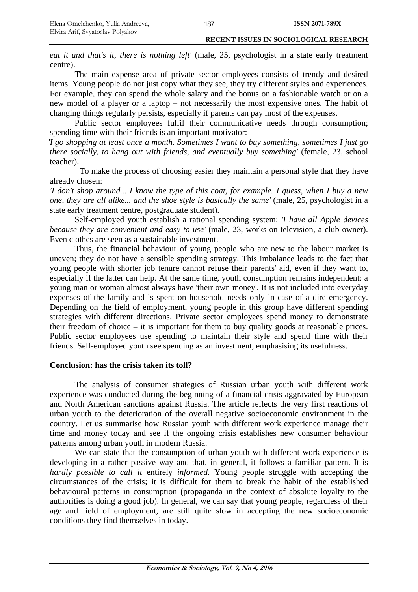*eat it and that's it, there is nothing left'* (male, 25, psychologist in a state early treatment centre).

The main expense area of private sector employees consists of trendy and desired items. Young people do not just copy what they see, they try different styles and experiences. For example, they can spend the whole salary and the bonus on a fashionable watch or on a new model of a player or a laptop – not necessarily the most expensive ones. The habit of changing things regularly persists, especially if parents can pay most of the expenses.

Public sector employees fulfil their communicative needs through consumption; spending time with their friends is an important motivator:

*'I go shopping at least once a month. Sometimes I want to buy something, sometimes I just go there socially, to hang out with friends, and eventually buy something'* (female, 23, school teacher).

To make the process of choosing easier they maintain a personal style that they have already chosen:

*'I don't shop around... I know the type of this coat, for example. I guess, when I buy a new one, they are all alike... and the shoe style is basically the same'* (male, 25, psychologist in a state early treatment centre, postgraduate student).

Self-employed youth establish a rational spending system: *'I have all Apple devices because they are convenient and easy to use'* (male, 23, works on television, a club owner). Even clothes are seen as a sustainable investment.

Thus, the financial behaviour of young people who are new to the labour market is uneven; they do not have a sensible spending strategy. This imbalance leads to the fact that young people with shorter job tenure cannot refuse their parents' aid, even if they want to, especially if the latter can help. At the same time, youth consumption remains independent: a young man or woman almost always have 'their own money'. It is not included into everyday expenses of the family and is spent on household needs only in case of a dire emergency. Depending on the field of employment, young people in this group have different spending strategies with different directions. Private sector employees spend money to demonstrate their freedom of choice – it is important for them to buy quality goods at reasonable prices. Public sector employees use spending to maintain their style and spend time with their friends. Self-employed youth see spending as an investment, emphasising its usefulness.

# **Conclusion: has the crisis taken its toll?**

The analysis of consumer strategies of Russian urban youth with different work experience was conducted during the beginning of a financial crisis aggravated by European and North American sanctions against Russia. The article reflects the very first reactions of urban youth to the deterioration of the overall negative socioeconomic environment in the country. Let us summarise how Russian youth with different work experience manage their time and money today and see if the ongoing crisis establishes new consumer behaviour patterns among urban youth in modern Russia.

We can state that the consumption of urban youth with different work experience is developing in a rather passive way and that, in general, it follows a familiar pattern. It is *hardly possible to call it* entirely *informed*. Young people struggle with accepting the circumstances of the crisis; it is difficult for them to break the habit of the established behavioural patterns in consumption (propaganda in the context of absolute loyalty to the authorities is doing a good job). In general, we can say that young people, regardless of their age and field of employment, are still quite slow in accepting the new socioeconomic conditions they find themselves in today.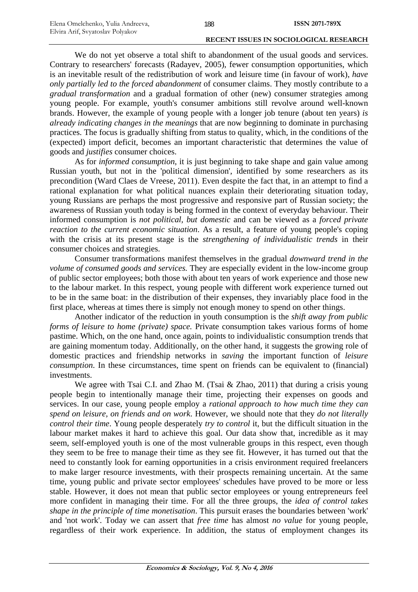We do not yet observe a total shift to abandonment of the usual goods and services. Contrary to researchers' forecasts (Radayev, 2005), fewer consumption opportunities, which is an inevitable result of the redistribution of work and leisure time (in favour of work), *have only partially led to the forced abandonment* of consumer claims. They mostly contribute to a *gradual transformation* and a gradual formation of other (new) consumer strategies among young people. For example, youth's consumer ambitions still revolve around well-known brands. However, the example of young people with a longer job tenure (about ten years) *is already indicating changes in the meanings* that are now beginning to dominate in purchasing practices. The focus is gradually shifting from status to quality, which, in the conditions of the (expected) import deficit, becomes an important characteristic that determines the value of goods and *justifies* consumer choices.

As for *informed consumption*, it is just beginning to take shape and gain value among Russian youth, but not in the 'political dimension', identified by some researchers as its precondition (Ward Claes de Vreese, 2011). Even despite the fact that, in an attempt to find a rational explanation for what political nuances explain their deteriorating situation today, young Russians are perhaps the most progressive and responsive part of Russian society; the awareness of Russian youth today is being formed in the context of everyday behaviour. Their informed consumption is *not political, but domestic* and can be viewed as a *forced private reaction to the current economic situation*. As a result, a feature of young people's coping with the crisis at its present stage is the *strengthening of individualistic trends* in their consumer choices and strategies.

Consumer transformations manifest themselves in the gradual *downward trend in the volume of consumed goods and services.* They are especially evident in the low-income group of public sector employees; both those with about ten years of work experience and those new to the labour market. In this respect, young people with different work experience turned out to be in the same boat: in the distribution of their expenses, they invariably place food in the first place, whereas at times there is simply not enough money to spend on other things.

Another indicator of the reduction in youth consumption is the *shift away from public forms of leisure to home (private) space.* Private consumption takes various forms of home pastime. Which, on the one hand, once again, points to individualistic consumption trends that are gaining momentum today. Additionally, on the other hand, it suggests the growing role of domestic practices and friendship networks in *saving* the important function of *leisure consumption*. In these circumstances, time spent on friends can be equivalent to (financial) investments.

We agree with Tsai C.I. and Zhao M. (Tsai & Zhao, 2011) that during a crisis young people begin to intentionally manage their time, projecting their expenses on goods and services. In our case, young people employ a *rational approach to how much time they can spend on leisure, on friends and on work*. However, we should note that they *do not literally control their time*. Young people desperately *try to control* it, but the difficult situation in the labour market makes it hard to achieve this goal. Our data show that, incredible as it may seem, self-employed youth is one of the most vulnerable groups in this respect, even though they seem to be free to manage their time as they see fit. However, it has turned out that the need to constantly look for earning opportunities in a crisis environment required freelancers to make larger resource investments, with their prospects remaining uncertain. At the same time, young public and private sector employees' schedules have proved to be more or less stable. However, it does not mean that public sector employees or young entrepreneurs feel more confident in managing their time. For all the three groups, the *idea of control takes shape in the principle of time monetisation*. This pursuit erases the boundaries between 'work' and 'not work'. Today we can assert that *free time* has almost *no value* for young people, regardless of their work experience. In addition, the status of employment changes its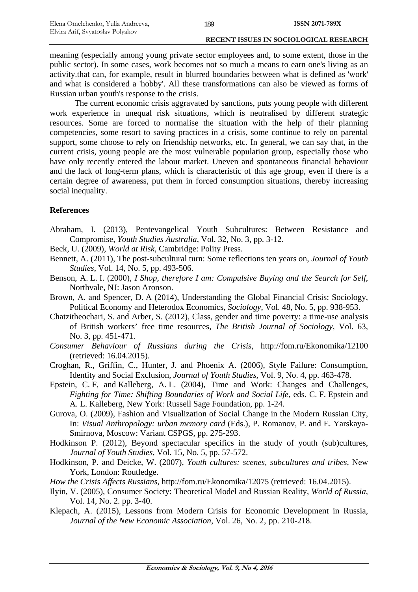meaning (especially among young private sector employees and, to some extent, those in the public sector). In some cases, work becomes not so much a means to earn one's living as an activity.that can, for example, result in blurred boundaries between what is defined as 'work' and what is considered a 'hobby'. All these transformations can also be viewed as forms of Russian urban youth's response to the crisis.

The current economic crisis aggravated by sanctions, puts young people with different work experience in unequal risk situations, which is neutralised by different strategic resources. Some are forced to normalise the situation with the help of their planning competencies, some resort to saving practices in a crisis, some continue to rely on parental support, some choose to rely on friendship networks, etc. In general, we can say that, in the current crisis, young people are the most vulnerable population group, especially those who have only recently entered the labour market. Uneven and spontaneous financial behaviour and the lack of long-term plans, which is characteristic of this age group, even if there is a certain degree of awareness, put them in forced consumption situations, thereby increasing social inequality.

# **References**

- Abraham, I. (2013), Pentevangelical Youth Subcultures: Between Resistance and Compromise, *Youth Studies Australia*, Vol. 32, No. 3, pp. 3-12.
- Beck, U. (2009), *World at Risk*, Cambridge: Polity Press.
- Bennett, A. (2011), The post-subcultural turn: Some reflections ten years on, *Journal of Youth Studies*, Vol. 14, No. 5, pp. 493-506.
- Benson, A. L. I. (2000), *I Shop, therefore I am: Compulsive Buying and the Search for Self*, Northvale, NJ: Jason Aronson.
- Brown, A. and Spencer, D. A (2014), Understanding the Global Financial Crisis: Sociology, Political Economy and Heterodox Economics, *Sociology*, Vol. 48, No. 5, pp. 938-953.
- Chatzitheochari, S. and Arber, S. (2012), Class, gender and time poverty: a time-use analysis of British workers' free time resources, *The British Journal of Sociology*, Vol. 63, No. 3, pp. 451-471.
- *Consumer Behaviour of Russians during the Crisis*, http://fom.ru/Ekonomika/12100 (retrieved: 16.04.2015).
- Croghan, R., Griffin, C., Hunter, J. and Phoenix A. (2006), Style Failure: Consumption, Identity and Social Exclusion, *Journal of Youth Studies*, Vol. 9, No. 4, pp. 463-478.
- Epstein, C. F, and Kalleberg, A. L. (2004), Time and Work: Changes and Challenges, *Fighting for Time: Shifting Boundaries of Work and Social Life*, eds. C. F. Epstein and A. L. Kalleberg, New York: Russell Sage Foundation, pp. 1-24.
- Gurova, O. (2009), Fashion and Visualization of Social Change in the Modern Russian City, In: *Visual Anthropology: urban memory card* (Eds.), P. Romanov, P. and E. Yarskaya-Smirnova, Moscow: Variant CSPGS, pp. 275-293.
- Hodkinson P. (2012), Beyond spectacular specifics in the study of youth (sub)cultures, *Journal of Youth Studies*, Vol. 15, No. 5, pp. 57-572.
- Hodkinson, P. and Deicke, W. (2007), *Youth cultures: scenes, subcultures and tribes*, New York, London: Routledge.
- *How the Crisis Affects Russians*, http://fom.ru/Ekonomika/12075 (retrieved: 16.04.2015).
- Ilyin, V. (2005), Consumer Society: Theoretical Model and Russian Reality, *World of Russia*, Vol. 14, No. 2. pp. 3-40.
- Klepach, A. (2015), Lessons from Modern Crisis for Economic Development in Russia, *Journal of the New Economic Association*, Vol. 26, No. 2, pp. 210-218.